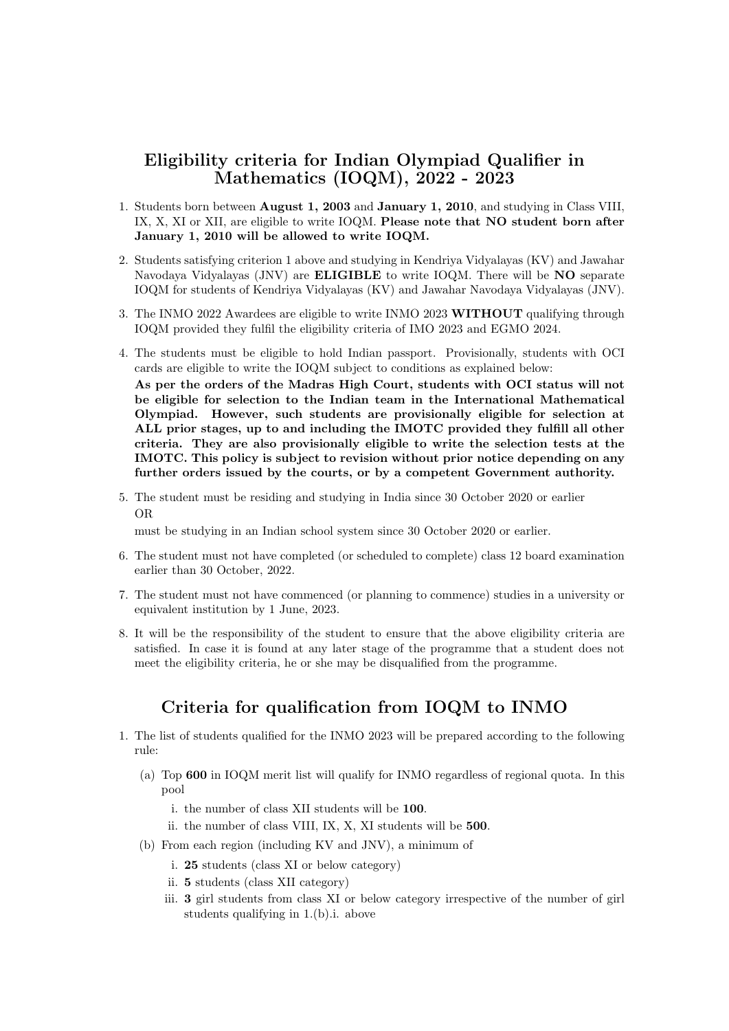## Eligibility criteria for Indian Olympiad Qualifier in Mathematics (IOQM), 2022 - 2023

- 1. Students born between August 1, 2003 and January 1, 2010, and studying in Class VIII, IX, X, XI or XII, are eligible to write IOQM. Please note that NO student born after January 1, 2010 will be allowed to write IOQM.
- 2. Students satisfying criterion 1 above and studying in Kendriya Vidyalayas (KV) and Jawahar Navodaya Vidyalayas (JNV) are ELIGIBLE to write IOQM. There will be NO separate IOQM for students of Kendriya Vidyalayas (KV) and Jawahar Navodaya Vidyalayas (JNV).
- 3. The INMO 2022 Awardees are eligible to write INMO 2023 WITHOUT qualifying through IOQM provided they fulfil the eligibility criteria of IMO 2023 and EGMO 2024.
- 4. The students must be eligible to hold Indian passport. Provisionally, students with OCI cards are eligible to write the IOQM subject to conditions as explained below:

As per the orders of the Madras High Court, students with OCI status will not be eligible for selection to the Indian team in the International Mathematical Olympiad. However, such students are provisionally eligible for selection at ALL prior stages, up to and including the IMOTC provided they fulfill all other criteria. They are also provisionally eligible to write the selection tests at the IMOTC. This policy is subject to revision without prior notice depending on any further orders issued by the courts, or by a competent Government authority.

5. The student must be residing and studying in India since 30 October 2020 or earlier OR

must be studying in an Indian school system since 30 October 2020 or earlier.

- 6. The student must not have completed (or scheduled to complete) class 12 board examination earlier than 30 October, 2022.
- 7. The student must not have commenced (or planning to commence) studies in a university or equivalent institution by 1 June, 2023.
- 8. It will be the responsibility of the student to ensure that the above eligibility criteria are satisfied. In case it is found at any later stage of the programme that a student does not meet the eligibility criteria, he or she may be disqualified from the programme.

## Criteria for qualification from IOQM to INMO

- 1. The list of students qualified for the INMO 2023 will be prepared according to the following rule:
	- (a) Top 600 in IOQM merit list will qualify for INMO regardless of regional quota. In this pool
		- i. the number of class XII students will be 100.
		- ii. the number of class VIII, IX, X, XI students will be 500.
	- (b) From each region (including KV and JNV), a minimum of
		- i. 25 students (class XI or below category)
		- ii. 5 students (class XII category)
		- iii. 3 girl students from class XI or below category irrespective of the number of girl students qualifying in 1.(b).i. above